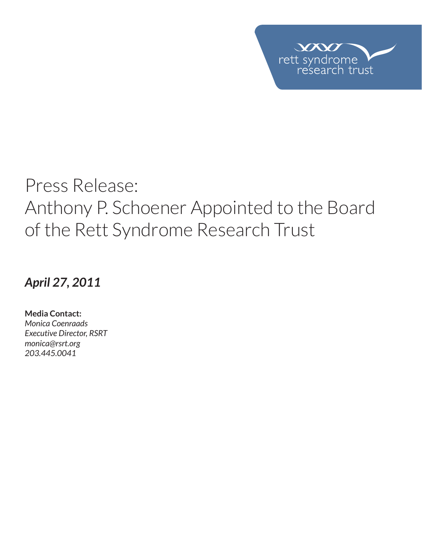

## Press Release: Anthony P. Schoener Appointed to the Board of the Rett Syndrome Research Trust

*April 27, 2011*

**Media Contact:**  *Monica Coenraads Executive Director, RSRT monica@rsrt.org 203.445.0041*